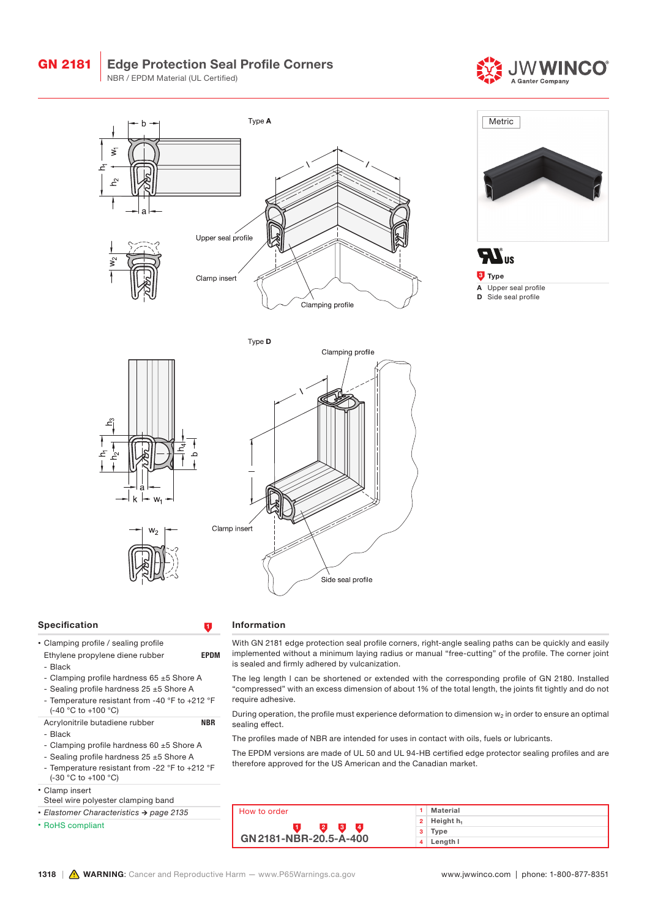





**Type** A Upper seal profile D Side seal profile





#### Specification **1**

### • Clamping profile / sealing profile

- Ethylene propylene diene rubber **EPDM** - Black
- 
- Clamping profile hardness 65 ±5 Shore A - Sealing profile hardness 25 ±5 Shore A
- Temperature resistant from -40 °F to +212 °F
- (-40 °C to +100 °C)
- Acrylonitrile butadiene rubber NBR
- Black
- Clamping profile hardness 60 ±5 Shore A
- Sealing profile hardness 25 ±5 Shore A
- Temperature resistant from -22 °F to +212 °F (-30 °C to +100 °C)

• Clamp insert

- Steel wire polyester clamping band
- *• Elastomer Characteristics → page 2135*
- RoHS compliant

## Information

With GN 2181 edge protection seal profile corners, right-angle sealing paths can be quickly and easily implemented without a minimum laying radius or manual "free-cutting" of the profile. The corner joint is sealed and firmly adhered by vulcanization.

The leg length l can be shortened or extended with the corresponding profile of GN 2180. Installed "compressed" with an excess dimension of about 1% of the total length, the joints fit tightly and do not require adhesive.

During operation, the profile must experience deformation to dimension  $w_2$  in order to ensure an optimal sealing effect.

The profiles made of NBR are intended for uses in contact with oils, fuels or lubricants.

The EPDM versions are made of UL 50 and UL 94-HB certified edge protector sealing profiles and are therefore approved for the US American and the Canadian market.

|  | How to order                                       |   | Material     |
|--|----------------------------------------------------|---|--------------|
|  | 2<br>$\overline{4}$<br>3<br>GN 2181-NBR-20.5-A-400 | 2 | Height $h_1$ |
|  |                                                    | з | Type         |
|  |                                                    |   | Length I     |